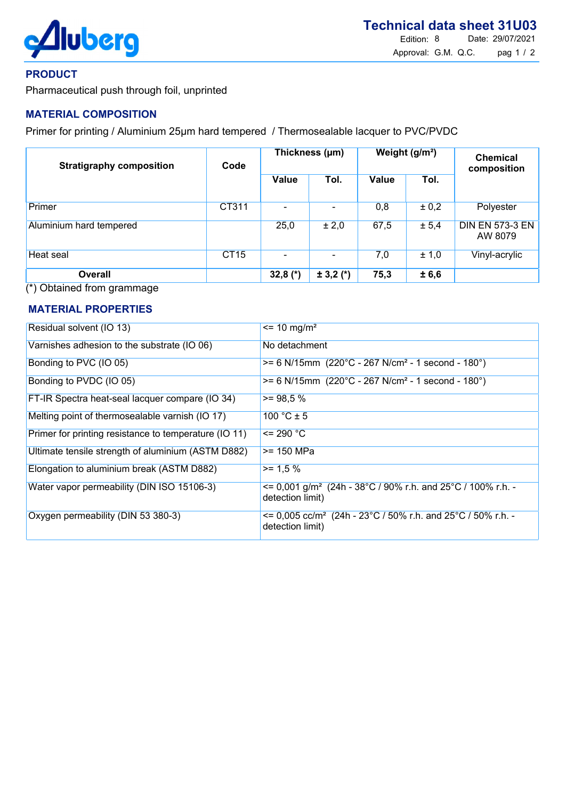

## PRODUCT

Pharmaceutical push through foil, unprinted

# MATERIAL COMPOSITION

Primer for printing / Aluminium 25µm hard tempered / Thermosealable lacquer to PVC/PVDC

| <b>Stratigraphy composition</b> | Code        | Thickness (µm) |             | Weight (g/m <sup>2</sup> ) |       | <b>Chemical</b><br>composition    |
|---------------------------------|-------------|----------------|-------------|----------------------------|-------|-----------------------------------|
|                                 |             | Value          | Tol.        | Value                      | Tol.  |                                   |
| Primer                          | CT311       |                |             | 0,8                        | ± 0,2 | Polyester                         |
| <b>Aluminium hard tempered</b>  |             | 25,0           | ± 2,0       | 67,5                       | ± 5,4 | <b>DIN EN 573-3 EN</b><br>AW 8079 |
| Heat seal                       | <b>CT15</b> |                |             | 7,0                        | ± 1,0 | Vinyl-acrylic                     |
| <b>Overall</b>                  |             | 32,8 $(*)$     | $± 3,2 (*)$ | 75,3                       | ± 6,6 |                                   |

(\*) Obtained from grammage

### MATERIAL PROPERTIES

| Residual solvent (IO 13)                              | $\epsilon$ = 10 mg/m <sup>2</sup>                                                                     |
|-------------------------------------------------------|-------------------------------------------------------------------------------------------------------|
| Varnishes adhesion to the substrate (IO 06)           | No detachment                                                                                         |
| Bonding to PVC (IO 05)                                | $>= 6$ N/15mm (220°C - 267 N/cm <sup>2</sup> - 1 second - 180°)                                       |
| Bonding to PVDC (IO 05)                               | $>= 6$ N/15mm (220°C - 267 N/cm <sup>2</sup> - 1 second - 180°)                                       |
| FT-IR Spectra heat-seal lacquer compare (IO 34)       | $>= 98.5 %$                                                                                           |
| Melting point of thermosealable varnish (IO 17)       | $100 °C \pm 5$                                                                                        |
| Primer for printing resistance to temperature (IO 11) | $= 290 °C$                                                                                            |
| Ultimate tensile strength of aluminium (ASTM D882)    | >= 150 MPa                                                                                            |
| Elongation to aluminium break (ASTM D882)             | $>= 1.5 %$                                                                                            |
| Water vapor permeability (DIN ISO 15106-3)            | $\epsilon$ = 0,001 g/m <sup>2</sup> (24h - 38°C / 90% r.h. and 25°C / 100% r.h. -<br>detection limit) |
| Oxygen permeability (DIN 53 380-3)                    | $\epsilon$ = 0,005 cc/m <sup>2</sup> (24h - 23°C / 50% r.h. and 25°C / 50% r.h. -<br>detection limit) |